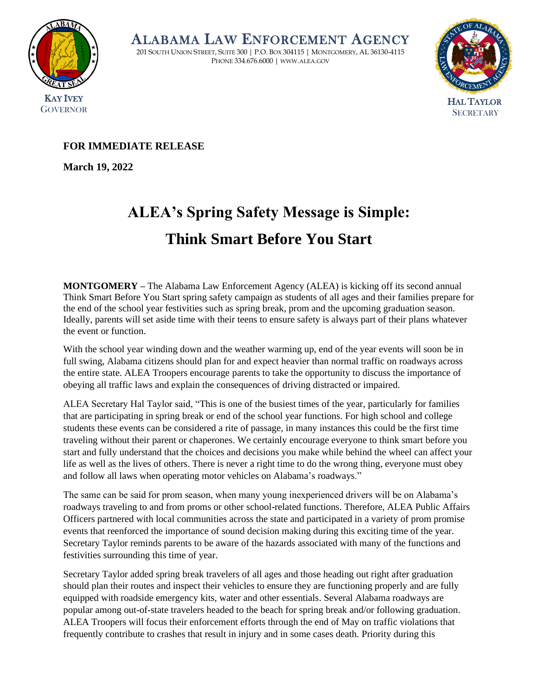

ALABAMA LAW ENFORCEMENT AGENCY

201 SOUTH UNION STREET, SUITE 300 | P.O. BOX 304115 | MONTGOMERY, AL 36130-4115 PHONE 334.676.6000 | WWW.ALEA.GOV



## **FOR IMMEDIATE RELEASE**

**March 19, 2022**

## **ALEA's Spring Safety Message is Simple: Think Smart Before You Start**

**MONTGOMERY –** The Alabama Law Enforcement Agency (ALEA) is kicking off its second annual Think Smart Before You Start spring safety campaign as students of all ages and their families prepare for the end of the school year festivities such as spring break, prom and the upcoming graduation season. Ideally, parents will set aside time with their teens to ensure safety is always part of their plans whatever the event or function.

With the school year winding down and the weather warming up, end of the year events will soon be in full swing, Alabama citizens should plan for and expect heavier than normal traffic on roadways across the entire state. ALEA Troopers encourage parents to take the opportunity to discuss the importance of obeying all traffic laws and explain the consequences of driving distracted or impaired.

ALEA Secretary Hal Taylor said, "This is one of the busiest times of the year, particularly for families that are participating in spring break or end of the school year functions. For high school and college students these events can be considered a rite of passage, in many instances this could be the first time traveling without their parent or chaperones. We certainly encourage everyone to think smart before you start and fully understand that the choices and decisions you make while behind the wheel can affect your life as well as the lives of others. There is never a right time to do the wrong thing, everyone must obey and follow all laws when operating motor vehicles on Alabama's roadways."

The same can be said for prom season, when many young inexperienced drivers will be on Alabama's roadways traveling to and from proms or other school-related functions. Therefore, ALEA Public Affairs Officers partnered with local communities across the state and participated in a variety of prom promise events that reenforced the importance of sound decision making during this exciting time of the year. Secretary Taylor reminds parents to be aware of the hazards associated with many of the functions and festivities surrounding this time of year.

Secretary Taylor added spring break travelers of all ages and those heading out right after graduation should plan their routes and inspect their vehicles to ensure they are functioning properly and are fully equipped with roadside emergency kits, water and other essentials. Several Alabama roadways are popular among out-of-state travelers headed to the beach for spring break and/or following graduation. ALEA Troopers will focus their enforcement efforts through the end of May on traffic violations that frequently contribute to crashes that result in injury and in some cases death. Priority during this